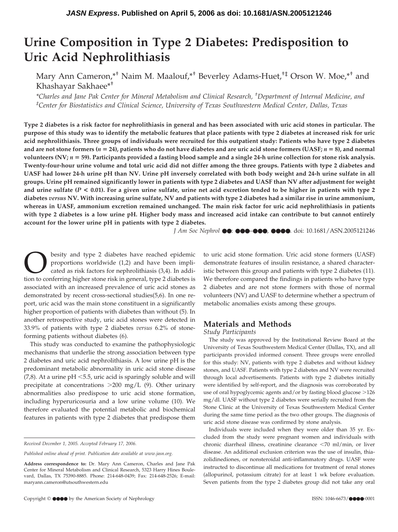# **Urine Composition in Type 2 Diabetes: Predisposition to Uric Acid Nephrolithiasis**

Mary Ann Cameron,\*† Naim M. Maalouf,\*† Beverley Adams-Huet,†‡ Orson W. Moe,\*† and Khashayar Sakhaee\*†

*\*Charles and Jane Pak Center for Mineral Metabolism and Clinical Research, † Department of Internal Medicine, and ‡ Center for Biostatistics and Clinical Science, University of Texas Southwestern Medical Center, Dallas, Texas*

**Type 2 diabetes is a risk factor for nephrolithiasis in general and has been associated with uric acid stones in particular. The purpose of this study was to identify the metabolic features that place patients with type 2 diabetes at increased risk for uric acid nephrolithiasis. Three groups of individuals were recruited for this outpatient study: Patients who have type 2 diabetes and are not stone formers (***n* **24), patients who do not have diabetes and are uric acid stone formers (UASF;** *n* **8), and normal volunteers (NV;** *n* **59). Participants provided a fasting blood sample and a single 24-h urine collection for stone risk analysis. Twenty-four-hour urine volume and total uric acid did not differ among the three groups. Patients with type 2 diabetes and UASF had lower 24-h urine pH than NV. Urine pH inversely correlated with both body weight and 24-h urine sulfate in all groups. Urine pH remained significantly lower in patients with type 2 diabetes and UASF than NV after adjustment for weight and urine sulfate (***P* **< 0.01). For a given urine sulfate, urine net acid excretion tended to be higher in patients with type 2 diabetes** *versus* **NV. With increasing urine sulfate, NV and patients with type 2 diabetes had a similar rise in urine ammonium, whereas in UASF, ammonium excretion remained unchanged. The main risk factor for uric acid nephrolithiasis in patients with type 2 diabetes is a low urine pH. Higher body mass and increased acid intake can contribute to but cannot entirely account for the lower urine pH in patients with type 2 diabetes.**

*J Am Soc Nephrol* ●●: ●●●–●●●, ●●●●. doi: 10.1681/ASN.2005121246

**O** besity and type 2 diabetes have reached epidemic<br>proportions worldwide (1,2) and have been impli-<br>cated as risk factors for nephrolithiasis (3,4). In addi-<br>tion to conferring higher stone risk in general, type 2 diabet proportions worldwide (1,2) and have been implicated as risk factors for nephrolithiasis (3,4). In addition to conferring higher stone risk in general, type 2 diabetes is associated with an increased prevalence of uric acid stones as demonstrated by recent cross-sectional studies(5,6). In one report, uric acid was the main stone constituent in a significantly higher proportion of patients with diabetes than without (5). In another retrospective study, uric acid stones were detected in 33.9% of patients with type 2 diabetes *versus* 6.2% of stoneforming patients without diabetes (6).

This study was conducted to examine the pathophysiologic mechanisms that underlie the strong association between type 2 diabetes and uric acid nephrolithiasis. A low urine pH is the predominant metabolic abnormality in uric acid stone disease  $(7,8)$ . At a urine pH  $\leq$ 5.5, uric acid is sparingly soluble and will precipitate at concentrations -200 mg/L (9). Other urinary abnormalities also predispose to uric acid stone formation, including hyperuricosuria and a low urine volume (10). We therefore evaluated the potential metabolic and biochemical features in patients with type 2 diabetes that predispose them to uric acid stone formation. Uric acid stone formers (UASF) demonstrate features of insulin resistance, a shared characteristic between this group and patients with type 2 diabetes (11). We therefore compared the findings in patients who have type 2 diabetes and are not stone formers with those of normal volunteers (NV) and UASF to determine whether a spectrum of metabolic anomalies exists among these groups.

## **Materials and Methods**

*Study Participants*

The study was approved by the Institutional Review Board at the University of Texas Southwestern Medical Center (Dallas, TX), and all participants provided informed consent. Three groups were enrolled for this study: NV, patients with type 2 diabetes and without kidney stones, and UASF. Patients with type 2 diabetes and NV were recruited through local advertisements. Patients with type 2 diabetes initially were identified by self-report, and the diagnosis was corroborated by use of oral hypoglycemic agents and/or by fasting blood glucose >126 mg/dl. UASF without type 2 diabetes were serially recruited from the Stone Clinic at the University of Texas Southwestern Medical Center during the same time period as the two other groups. The diagnosis of uric acid stone disease was confirmed by stone analysis.

Individuals were included when they were older than 35 yr. Excluded from the study were pregnant women and individuals with chronic diarrheal illness, creatinine clearance <70 ml/min, or liver disease. An additional exclusion criterion was the use of insulin, thiazolidinediones, or nonsteroidal anti-inflammatory drugs. UASF were instructed to discontinue all medications for treatment of renal stones (allopurinol, potassium citrate) for at least 1 wk before evaluation. Seven patients from the type 2 diabetes group did not take any oral

*Received December 1, 2005. Accepted February 17, 2006.*

*Published online ahead of print. Publication date available at www.jasn.org.*

**Address correspondence to:** Dr. Mary Ann Cameron, Charles and Jane Pak Center for Mineral Metabolism and Clinical Research, 5323 Harry Hines Boulevard, Dallas, TX 75390-8885. Phone: 214-648-0439; Fax: 214-648-2526; E-mail: maryann.cameron@utsouthwestern.edu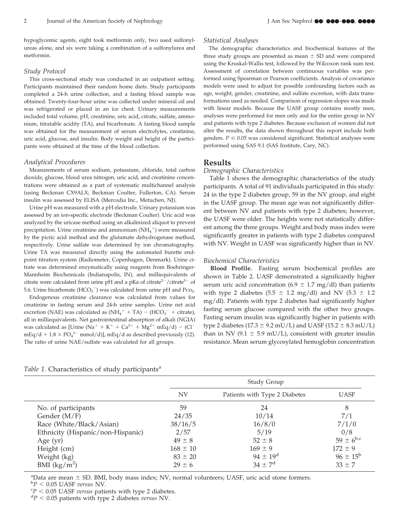hypoglycemic agents, eight took metformin only, two used sulfonylureas alone, and six were taking a combination of a sulfonylurea and metformin.

## *Study Protocol*

This cross-sectional study was conducted in an outpatient setting. Participants maintained their random home diets. Study participants completed a 24-h urine collection, and a fasting blood sample was obtained. Twenty-four-hour urine was collected under mineral oil and was refrigerated or placed in an ice chest. Urinary measurements included total volume, pH, creatinine, uric acid, citrate, sulfate, ammonium, titratable acidity (TA), and bicarbonate. A fasting blood sample was obtained for the measurement of serum electrolytes, creatinine, uric acid, glucose, and insulin. Body weight and height of the participants were obtained at the time of the blood collection.

#### *Analytical Procedures*

Measurements of serum sodium, potassium, chloride, total carbon dioxide, glucose, blood urea nitrogen, uric acid, and creatinine concentrations were obtained as a part of systematic multichannel analysis (using Beckman CX9ALX; Beckman Coulter, Fullerton, CA). Serum insulin was assessed by ELISA (Mercodia Inc., Metuchen, NJ).

Urine pH was measured with a pH electrode. Urinary potassium was assessed by an ion-specific electrode (Beckman Coulter). Uric acid was analyzed by the uricase method using an alkalinized aliquot to prevent precipitation. Urine creatinine and ammonium  $\rm (NH_4^+)$  were measured by the picric acid method and the glutamate dehydrogenase method, respectively. Urine sulfate was determined by ion chromatography. Urine TA was measured directly using the automated burette endpoint titration system (Radiometer, Copenhagen, Denmark). Urine citrate was determined enzymatically using reagents from Boehringer-Mannheim Biochemicals (Indianapolis, IN), and milliequivalents of citrate were calculated from urine pH and a pKa of citrate<sup>2-</sup>/citrate<sup>3-</sup> of 5.6. Urine bicarbonate  $(HCO_3^-)$  was calculated from urine pH and Pco<sub>2</sub>.

Endogenous creatinine clearance was calculated from values for creatinine in fasting serum and 24-h urine samples. Urine net acid excretion (NAE) was calculated as  $(NH_4^+ + TA) - (HCO_3^- +$  citrate), all in milliequivalents. Net gastrointestinal absorption of alkali (NGIA) was calculated as [Urine (Na<sup>+</sup> + K<sup>+</sup> + Ca<sup>2+</sup> + Mg<sup>2+</sup> mEq/d) – (Cl<sup>-</sup> mEq/d +  $1.8 \times PQ_4^{3-}$  mmol/d)], mEq/d as described previously (12). The ratio of urine NAE/sulfate was calculated for all groups.

#### *Statistical Analyses*

The demographic characteristics and biochemical features of the three study groups are presented as mean  $\pm$  SD and were compared using the Kruskal-Wallis test, followed by the Wilcoxon rank sum test. Assessment of correlation between continuous variables was performed using Spearman or Pearson coefficients. Analysis of covariance models were used to adjust for possible confounding factors such as age, weight, gender, creatinine, and sulfate excretion, with data transformations used as needed. Comparison of regression slopes was made with linear models. Because the UASF group contains mostly men, analyses were performed for men only and for the entire group in NV and patients with type 2 diabetes. Because exclusion of women did not alter the results, the data shown throughout this report include both genders.  $P \leq 0.05$  was considered significant. Statistical analyses were performed using SAS 9.1 (SAS Institute, Cary, NC).

## **Results**

## *Demographic Characteristics*

Table 1 shows the demographic characteristics of the study participants. A total of 91 individuals participated in this study: 24 in the type 2 diabetes group, 59 in the NV group, and eight in the UASF group. The mean age was not significantly different between NV and patients with type 2 diabetes; however, the UASF were older. The heights were not statistically different among the three groups. Weight and body mass index were significantly greater in patients with type 2 diabetes compared with NV. Weight in UASF was significantly higher than in NV.

#### *Biochemical Characteristics*

**Blood Profile.** Fasting serum biochemical profiles are shown in Table 2. UASF demonstrated a significantly higher serum uric acid concentration (6.9  $\pm$  1.7 mg/dl) than patients with type 2 diabetes (5.5  $\pm$  1.2 mg/dl) and NV (5.3  $\pm$  1.2 mg/dl). Patients with type 2 diabetes had significantly higher fasting serum glucose compared with the other two groups. Fasting serum insulin was significantly higher in patients with type 2 diabetes (17.3  $\pm$  9.2 mU/L) and UASF (15.2  $\pm$  8.3 mU/L) than in NV (9.1  $\pm$  5.9 mU/L), consistent with greater insulin resistance. Mean serum glycosylated hemoglobin concentration

#### *Table 1.* Characteristics of study participants<sup>a</sup>

|                                   | <b>Study Group</b> |                               |                     |
|-----------------------------------|--------------------|-------------------------------|---------------------|
|                                   | <b>NV</b>          | Patients with Type 2 Diabetes | <b>UASF</b>         |
| No. of participants               | 59                 | 24                            | 8                   |
| Gender $(M/F)$                    | 24/35              | 10/14                         | 7/1                 |
| Race (White/Black/Asian)          | 38/16/5            | 16/8/0                        | 7/1/0               |
| Ethnicity (Hispanic/non-Hispanic) | 2/57               | 5/19                          | 0/8                 |
| Age $(yr)$                        | $49 \pm 8$         | $52 \pm 8$                    | $59 \pm 6^{b,c}$    |
| Height (cm)                       | $168 \pm 10$       | $169 \pm 9$                   | $172 \pm 9$         |
| Weight (kg)                       | $83 \pm 20$        | $94 \pm 19^{\rm d}$           | $96 \pm 15^{\rm b}$ |
| BMI $(kg/m^2)$                    | $29 \pm 6$         | $34 \pm 7^d$                  | $33 \pm 7$          |

<sup>a</sup>Data are mean  $\pm$  SD. BMI, body mass index; NV, normal volunteers; UASF, uric acid stone formers.<br>**b**D < 0.05 ILASE zercus NV

 $P_P < 0.05$  UASF *versus* NV.

 $\mathrm{^{c}P}$  < 0.05 UASF *versus* patients with type 2 diabetes.

*P* 0.05 patients with type 2 diabetes *versus* NV.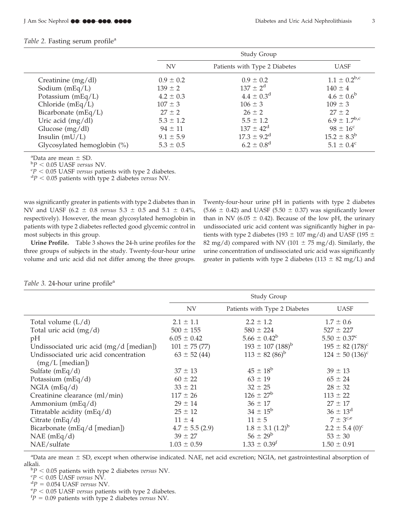## *Table 2.* Fasting serum profile<sup>a</sup>

|                             | Study Group   |                               |                     |
|-----------------------------|---------------|-------------------------------|---------------------|
|                             | <b>NV</b>     | Patients with Type 2 Diabetes | <b>UASF</b>         |
| Creatinine $(mg/dl)$        | $0.9 \pm 0.2$ | $0.9 \pm 0.2$                 | $1.1 \pm 0.2^{b,c}$ |
| Sodium $(mEq/L)$            | $139 \pm 2$   | $137 \pm 2^{d}$               | $140 \pm 4$         |
| Potassium $(mEq/L)$         | $4.2 \pm 0.3$ | $4.4 \pm 0.3^{\rm d}$         | $4.6 \pm 0.6^b$     |
| Chloride $(mEq/L)$          | $107 \pm 3$   | $106 \pm 3$                   | $109 \pm 3$         |
| Bicarbonate $(mEq/L)$       | $27 \pm 2$    | $26 \pm 2$                    | $27 \pm 2$          |
| Uric acid $(mg/dl)$         | $5.3 \pm 1.2$ | $5.5 \pm 1.2$                 | $6.9 \pm 1.7^{b,c}$ |
| Glucose (mg/dl)             | $94 \pm 11$   | $137 \pm 42^d$                | $98 \pm 16^{\circ}$ |
| Insulin $(mU/L)$            | $9.1 \pm 5.9$ | $17.3 \pm 9.2^{\rm d}$        | $15.2 \pm 8.3^b$    |
| Glycosylated hemoglobin (%) | $5.3 \pm 0.5$ | $6.2 \pm 0.8$ <sup>d</sup>    | $5.1 \pm 0.4^c$     |

<sup>a</sup>Data are mean  $\pm$  SD. <sup>a</sup>Data are mean  $\pm$  SD.<br><sup>b</sup>P < 0.05 UASE *versus* 

<sup>p</sup>P < 0.05 UASF *versus* NV.<br><sup>cp</sup> < 0.05 UASE *versus* patie

 $\degree$ *P* < 0.05 UASF *versus* patients with type 2 diabetes.

 $P^dP < 0.05$  patients with type 2 diabetes *versus* NV.

was significantly greater in patients with type 2 diabetes than in NV and UASF (6.2  $\pm$  0.8 *versus* 5.3  $\pm$  0.5 and 5.1  $\pm$  0.4%, respectively). However, the mean glycosylated hemoglobin in patients with type 2 diabetes reflected good glycemic control in most subjects in this group.

**Urine Profile.** Table 3 shows the 24-h urine profiles for the three groups of subjects in the study. Twenty-four-hour urine volume and uric acid did not differ among the three groups.

Twenty-four-hour urine pH in patients with type 2 diabetes  $(5.66 \pm 0.42)$  and UASF  $(5.50 \pm 0.37)$  was significantly lower than in NV (6.05  $\pm$  0.42). Because of the low pH, the urinary undissociated uric acid content was significantly higher in patients with type 2 diabetes (193  $\pm$  107 mg/d) and UASF (195  $\pm$ 82 mg/d) compared with NV (101  $\pm$  75 mg/d). Similarly, the urine concentration of undissociated uric acid was significantly greater in patients with type 2 diabetes (113  $\pm$  82 mg/L) and

|                                                                    | Study Group         |                               |                                 |
|--------------------------------------------------------------------|---------------------|-------------------------------|---------------------------------|
|                                                                    | <b>NV</b>           | Patients with Type 2 Diabetes | <b>UASF</b>                     |
| Total volume $(L/d)$                                               | $2.1 \pm 1.1$       | $2.2 \pm 1.2$                 | $1.7 \pm 0.6$                   |
| Total uric acid (mg/d)                                             | $500 \pm 155$       | $580 \pm 224$                 | $527 \pm 227$                   |
| pH                                                                 | $6.05 \pm 0.42$     | $5.66 \pm 0.42^b$             | $5.50 \pm 0.37^c$               |
| Undissociated uric acid (mg/d [median])                            | $101 \pm 75(77)$    | $193 \pm 107 \,(188)^{b}$     | $195 \pm 82$ (178) <sup>c</sup> |
| Undissociated uric acid concentration<br>$(mg/L \text{ [median]})$ | $63 \pm 52(44)$     | $113 \pm 82 (86)^{b}$         | $124 \pm 50$ (136) <sup>c</sup> |
| Sulfate $(mEq/d)$                                                  | $37 \pm 13$         | $45 \pm 18^{\rm b}$           | $39 \pm 13$                     |
| Potassium (mEq/d)                                                  | $60 \pm 22$         | $63 \pm 19$                   | $65 \pm 24$                     |
| $NGIA$ (mEq/d)                                                     | $33 \pm 21$         | $32 \pm 25$                   | $28 \pm 32$                     |
| Creatinine clearance (ml/min)                                      | $117 \pm 26$        | $126 \pm 27^{\rm b}$          | $113 \pm 22$                    |
| Ammonium $(mEq/d)$                                                 | $29 \pm 14$         | $36 \pm 17$                   | $27 \pm 17$                     |
| Titratable acidity (mEq/d)                                         | $25 \pm 12$         | $34 \pm 15^{\rm b}$           | $36 \pm 13^{\rm d}$             |
| Citrate $(mEq/d)$                                                  | $11 \pm 4$          | $11 \pm 5$                    | $7 \pm 3^{c,e}$                 |
| Bicarbonate (mEq/d [median])                                       | $4.7 \pm 5.5$ (2.9) | $1.8 \pm 3.1$ $(1.2)^{b}$     | $2.2 \pm 5.4$ (0) <sup>c</sup>  |
| $NAE$ (mEq/d)                                                      | $39 \pm 27$         | $56 \pm 29^{\rm b}$           | $53 \pm 30$                     |
| NAE/sulfate                                                        | $1.03 \pm 0.59$     | $1.33 \pm 0.39^f$             | $1.50 \pm 0.91$                 |

|  | Table 3. 24-hour urine profile <sup>a</sup> |  |  |
|--|---------------------------------------------|--|--|
|--|---------------------------------------------|--|--|

<sup>a</sup>Data are mean ± SD, except when otherwise indicated. NAE, net acid excretion; NGIA, net gastrointestinal absorption of alkali.

 $P^{\text{b}}P$  < 0.05 patients with type 2 diabetes *versus* NV.

 $\mathrm{^{c}P}$  < 0.05 UASF *versus* NV.

 ${}^{d}P = 0.054$  UASF *versus* NV.

 $P < 0.05$  UASF *versus* patients with type 2 diabetes.

 ${}^{\text{f}}P = 0.09$  patients with type 2 diabetes *versus* NV.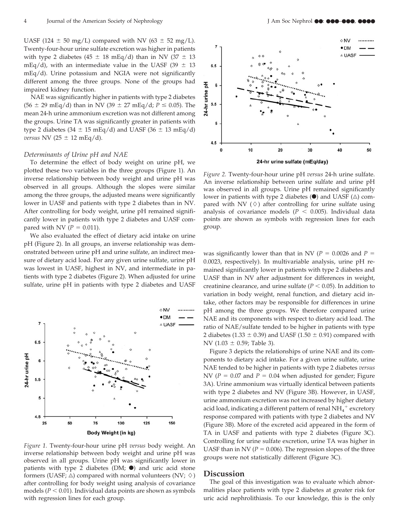UASF (124  $\pm$  50 mg/L) compared with NV (63  $\pm$  52 mg/L). Twenty-four-hour urine sulfate excretion was higher in patients with type 2 diabetes (45  $\pm$  18 mEq/d) than in NV (37  $\pm$  13 mEq/d), with an intermediate value in the UASF (39  $\pm$  13 mEq/d). Urine potassium and NGIA were not significantly different among the three groups. None of the groups had impaired kidney function.

NAE was significantly higher in patients with type 2 diabetes  $(56 \pm 29 \text{ mEq/d})$  than in NV  $(39 \pm 27 \text{ mEq/d}; P \le 0.05)$ . The mean 24-h urine ammonium excretion was not different among the groups. Urine TA was significantly greater in patients with type 2 diabetes (34  $\pm$  15 mEq/d) and UASF (36  $\pm$  13 mEq/d) *versus* NV (25  $\pm$  12 mEq/d).

## *Determinants of Urine pH and NAE*

To determine the effect of body weight on urine pH, we plotted these two variables in the three groups (Figure 1). An inverse relationship between body weight and urine pH was observed in all groups. Although the slopes were similar among the three groups, the adjusted means were significantly lower in UASF and patients with type 2 diabetes than in NV. After controlling for body weight, urine pH remained significantly lower in patients with type 2 diabetes and UASF compared with NV  $(P = 0.011)$ .

We also evaluated the effect of dietary acid intake on urine pH (Figure 2). In all groups, an inverse relationship was demonstrated between urine pH and urine sulfate, an indirect measure of dietary acid load. For any given urine sulfate, urine pH was lowest in UASF, highest in NV, and intermediate in patients with type 2 diabetes (Figure 2). When adjusted for urine sulfate, urine pH in patients with type 2 diabetes and UASF



*Figure 1.* Twenty-four-hour urine pH *versus* body weight. An inverse relationship between body weight and urine pH was observed in all groups. Urine pH was significantly lower in patients with type 2 diabetes (DM;  $\bullet$ ) and uric acid stone formers (UASF;  $\triangle$ ) compared with normal volunteers (NV;  $\diamond$ ) after controlling for body weight using analysis of covariance models ( $P < 0.01$ ). Individual data points are shown as symbols with regression lines for each group.



*Figure 2.* Twenty-four-hour urine pH *versus* 24-h urine sulfate. An inverse relationship between urine sulfate and urine pH was observed in all groups. Urine pH remained significantly lower in patients with type 2 diabetes  $(\bullet)$  and UASF ( $\triangle$ ) compared with NV  $(\Diamond)$  after controlling for urine sulfate using analysis of covariance models ( $P < 0.005$ ). Individual data points are shown as symbols with regression lines for each group.

was significantly lower than that in NV ( $P = 0.0026$  and  $P =$ 0.0023, respectively). In multivariable analysis, urine pH remained significantly lower in patients with type 2 diabetes and UASF than in NV after adjustment for differences in weight, creatinine clearance, and urine sulfate ( $P < 0.05$ ). In addition to variation in body weight, renal function, and dietary acid intake, other factors may be responsible for differences in urine pH among the three groups. We therefore compared urine NAE and its components with respect to dietary acid load. The ratio of NAE/sulfate tended to be higher in patients with type 2 diabetes (1.33  $\pm$  0.39) and UASF (1.50  $\pm$  0.91) compared with NV (1.03  $\pm$  0.59; Table 3).

Figure 3 depicts the relationships of urine NAE and its components to dietary acid intake. For a given urine sulfate, urine NAE tended to be higher in patients with type 2 diabetes *versus* NV ( $P = 0.07$  and  $P = 0.04$  when adjusted for gender; Figure 3A). Urine ammonium was virtually identical between patients with type 2 diabetes and NV (Figure 3B). However, in UASF, urine ammonium excretion was not increased by higher dietary acid load, indicating a different pattern of renal  $\mathrm{NH}_4^+$  excretory response compared with patients with type 2 diabetes and NV (Figure 3B). More of the excreted acid appeared in the form of TA in UASF and patients with type 2 diabetes (Figure 3C). Controlling for urine sulfate excretion, urine TA was higher in UASF than in NV ( $P = 0.006$ ). The regression slopes of the three groups were not statistically different (Figure 3C).

#### **Discussion**

The goal of this investigation was to evaluate which abnormalities place patients with type 2 diabetes at greater risk for uric acid nephrolithiasis. To our knowledge, this is the only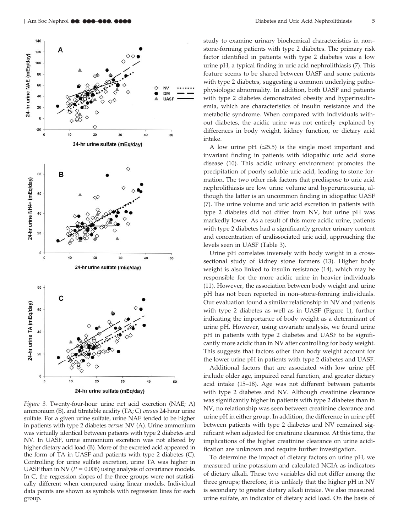

*Figure 3.* Twenty-four-hour urine net acid excretion (NAE; A) ammonium (B), and titratable acidity (TA; C) *versus* 24-hour urine sulfate. For a given urine sulfate, urine NAE tended to be higher in patients with type 2 diabetes *versus* NV (A). Urine ammonium was virtually identical between patients with type 2 diabetes and NV. In UASF, urine ammonium excretion was not altered by higher dietary acid load (B). More of the excreted acid appeared in the form of TA in UASF and patients with type 2 diabetes (C). Controlling for urine sulfate excretion, urine TA was higher in UASF than in NV ( $P = 0.006$ ) using analysis of covariance models. In C, the regression slopes of the three groups were not statistically different when compared using linear models. Individual data points are shown as symbols with regression lines for each group.

study to examine urinary biochemical characteristics in non– stone-forming patients with type 2 diabetes. The primary risk factor identified in patients with type 2 diabetes was a low urine pH, a typical finding in uric acid nephrolithiasis (7). This feature seems to be shared between UASF and some patients with type 2 diabetes, suggesting a common underlying pathophysiologic abnormality. In addition, both UASF and patients with type 2 diabetes demonstrated obesity and hyperinsulinemia, which are characteristics of insulin resistance and the metabolic syndrome. When compared with individuals without diabetes, the acidic urine was not entirely explained by differences in body weight, kidney function, or dietary acid intake.

A low urine pH  $(\leq 5.5)$  is the single most important and invariant finding in patients with idiopathic uric acid stone disease (10). This acidic urinary environment promotes the precipitation of poorly soluble uric acid, leading to stone formation. The two other risk factors that predispose to uric acid nephrolithiasis are low urine volume and hyperuricosuria, although the latter is an uncommon finding in idiopathic UASF (7). The urine volume and uric acid excretion in patients with type 2 diabetes did not differ from NV, but urine pH was markedly lower. As a result of this more acidic urine, patients with type 2 diabetes had a significantly greater urinary content and concentration of undissociated uric acid, approaching the levels seen in UASF (Table 3).

Urine pH correlates inversely with body weight in a crosssectional study of kidney stone formers (13). Higher body weight is also linked to insulin resistance (14), which may be responsible for the more acidic urine in heavier individuals (11). However, the association between body weight and urine pH has not been reported in non–stone-forming individuals. Our evaluation found a similar relationship in NV and patients with type 2 diabetes as well as in UASF (Figure 1), further indicating the importance of body weight as a determinant of urine pH. However, using covariate analysis, we found urine pH in patients with type 2 diabetes and UASF to be significantly more acidic than in NV after controlling for body weight. This suggests that factors other than body weight account for the lower urine pH in patients with type 2 diabetes and UASF.

Additional factors that are associated with low urine pH include older age, impaired renal function, and greater dietary acid intake (15–18). Age was not different between patients with type 2 diabetes and NV. Although creatinine clearance was significantly higher in patients with type 2 diabetes than in NV, no relationship was seen between creatinine clearance and urine pH in either group. In addition, the difference in urine pH between patients with type 2 diabetes and NV remained significant when adjusted for creatinine clearance. At this time, the implications of the higher creatinine clearance on urine acidification are unknown and require further investigation.

To determine the impact of dietary factors on urine pH, we measured urine potassium and calculated NGIA as indicators of dietary alkali. These two variables did not differ among the three groups; therefore, it is unlikely that the higher pH in NV is secondary to greater dietary alkali intake. We also measured urine sulfate, an indicator of dietary acid load. On the basis of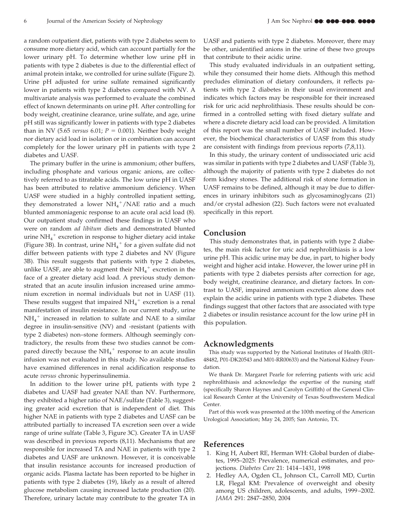a random outpatient diet, patients with type 2 diabetes seem to consume more dietary acid, which can account partially for the lower urinary pH. To determine whether low urine pH in patients with type 2 diabetes is due to the differential effect of animal protein intake, we controlled for urine sulfate (Figure 2). Urine pH adjusted for urine sulfate remained significantly lower in patients with type 2 diabetes compared with NV. A multivariate analysis was performed to evaluate the combined effect of known determinants on urine pH. After controlling for body weight, creatinine clearance, urine sulfate, and age, urine pH still was significantly lower in patients with type 2 diabetes than in NV (5.65 *versus* 6.01;  $P = 0.001$ ). Neither body weight nor dietary acid load in isolation or in combination can account completely for the lower urinary pH in patients with type 2 diabetes and UASF.

The primary buffer in the urine is ammonium; other buffers, including phosphate and various organic anions, are collectively referred to as titratable acids. The low urine pH in UASF has been attributed to relative ammonium deficiency. When UASF were studied in a highly controlled inpatient setting, they demonstrated a lower  $NH_4^+/NAE$  ratio and a much blunted ammoniagenic response to an acute oral acid load (8). Our outpatient study confirmed these findings in UASF who were on random *ad libitum* diets and demonstrated blunted urine $\mathrm{NH}_4^+$  excretion in response to higher dietary acid intake (Figure 3B). In contrast, urine  $\mathrm{NH_4}^+$  for a given sulfate did not differ between patients with type 2 diabetes and NV (Figure 3B). This result suggests that patients with type 2 diabetes, unlike UASF, are able to augment their  $\mathrm{NH_4}^+$  excretion in the face of a greater dietary acid load. A previous study demonstrated that an acute insulin infusion increased urine ammonium excretion in normal individuals but not in UASF (11). These results suggest that impaired  $NH_4^+$  excretion is a renal manifestation of insulin resistance. In our current study, urine  $NH_4^+$  increased in relation to sulfate and NAE to a similar degree in insulin-sensitive (NV) and -resistant (patients with type 2 diabetes) non–stone formers. Although seemingly contradictory, the results from these two studies cannot be compared directly because the  $NH_4^+$  response to an acute insulin infusion was not evaluated in this study. No available studies have examined differences in renal acidification response to acute *versus* chronic hyperinsulinemia.

In addition to the lower urine pH, patients with type 2 diabetes and UASF had greater NAE than NV. Furthermore, they exhibited a higher ratio of NAE/sulfate (Table 3), suggesting greater acid excretion that is independent of diet. This higher NAE in patients with type 2 diabetes and UASF can be attributed partially to increased TA excretion seen over a wide range of urine sulfate (Table 3, Figure 3C). Greater TA in UASF was described in previous reports (8,11). Mechanisms that are responsible for increased TA and NAE in patients with type 2 diabetes and UASF are unknown. However, it is conceivable that insulin resistance accounts for increased production of organic acids. Plasma lactate has been reported to be higher in patients with type 2 diabetes (19), likely as a result of altered glucose metabolism causing increased lactate production (20). Therefore, urinary lactate may contribute to the greater TA in UASF and patients with type 2 diabetes. Moreover, there may be other, unidentified anions in the urine of these two groups that contribute to their acidic urine.

This study evaluated individuals in an outpatient setting, while they consumed their home diets. Although this method precludes elimination of dietary confounders, it reflects patients with type 2 diabetes in their usual environment and indicates which factors may be responsible for their increased risk for uric acid nephrolithiasis. These results should be confirmed in a controlled setting with fixed dietary sulfate and where a discrete dietary acid load can be provided. A limitation of this report was the small number of UASF included. However, the biochemical characteristics of UASF from this study are consistent with findings from previous reports (7,8,11).

In this study, the urinary content of undissociated uric acid was similar in patients with type 2 diabetes and UASF (Table 3), although the majority of patients with type 2 diabetes do not form kidney stones. The additional risk of stone formation in UASF remains to be defined, although it may be due to differences in urinary inhibitors such as glycosaminoglycans (21) and/or crystal adhesion (22). Such factors were not evaluated specifically in this report.

## **Conclusion**

This study demonstrates that, in patients with type 2 diabetes, the main risk factor for uric acid nephrolithiasis is a low urine pH. This acidic urine may be due, in part, to higher body weight and higher acid intake. However, the lower urine pH in patients with type 2 diabetes persists after correction for age, body weight, creatinine clearance, and dietary factors. In contrast to UASF, impaired ammonium excretion alone does not explain the acidic urine in patients with type 2 diabetes. These findings suggest that other factors that are associated with type 2 diabetes or insulin resistance account for the low urine pH in this population.

## **Acknowledgments**

This study was supported by the National Institutes of Health (R01- 48482, P01-DK20543 and M01-RR00633) and the National Kidney Foundation.

We thank Dr. Margaret Pearle for referring patients with uric acid nephrolithiasis and acknowledge the expertise of the nursing staff (specifically Sharon Haynes and Carolyn Griffith) of the General Clinical Research Center at the University of Texas Southwestern Medical Center.

Part of this work was presented at the 100th meeting of the American Urological Association; May 24, 2005; San Antonio, TX.

## **References**

- 1. King H, Aubert RE, Herman WH: Global burden of diabetes, 1995–2025: Prevalence, numerical estimates, and projections. *Diabetes Care* 21: 1414 –1431, 1998
- 2. Hedley AA, Ogden CL, Johnson CL, Carroll MD, Curtin LR, Flegal KM: Prevalence of overweight and obesity among US children, adolescents, and adults, 1999 –2002. *JAMA* 291: 2847–2850, 2004